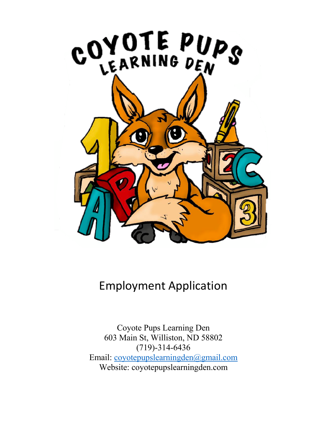

## Employment Application

Coyote Pups Learning Den 603 Main St, Williston, ND 58802 (719)-314-6436 Email: coyotepupslearningden@gmail.com Website: coyotepupslearningden.com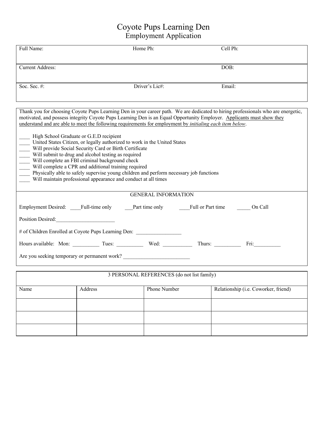## Coyote Pups Learning Den Employment Application

| Full Name:                                                                                                                                                                                                                                                                                                                                               | Home Ph:                   | Cell Ph: |  |  |  |
|----------------------------------------------------------------------------------------------------------------------------------------------------------------------------------------------------------------------------------------------------------------------------------------------------------------------------------------------------------|----------------------------|----------|--|--|--|
| <b>Current Address:</b>                                                                                                                                                                                                                                                                                                                                  |                            | DOB:     |  |  |  |
| Soc. Sec. $#$ :                                                                                                                                                                                                                                                                                                                                          | Driver's Lic#:             | Email:   |  |  |  |
| Thank you for choosing Coyote Pups Learning Den in your career path. We are dedicated to hiring professionals who are energetic,<br>motivated, and possess integrity Coyote Pups Learning Den is an Equal Opportunity Employer. Applicants must show they                                                                                                |                            |          |  |  |  |
| understand and are able to meet the following requirements for employment by <i>initialing each item below</i> .<br>High School Graduate or G.E.D recipient<br>United States Citizen, or legally authorized to work in the United States<br>Will provide Social Security Card or Birth Certificate<br>Will submit to drug and alcohol testing as require |                            |          |  |  |  |
|                                                                                                                                                                                                                                                                                                                                                          | <b>GENERAL INFORMATION</b> |          |  |  |  |
| Employment Desired: Full-time only Part time only Full or Part time<br>Position Desired:                                                                                                                                                                                                                                                                 |                            | On Call  |  |  |  |
| # of Children Enrolled at Coyote Pups Learning Den: ____________________________                                                                                                                                                                                                                                                                         |                            |          |  |  |  |
| Hours available: Mon: Tues: Tues: Wed: Thurs: Thurs: Fri: Fri:<br>Are you seeking temporary or permanent work?                                                                                                                                                                                                                                           |                            |          |  |  |  |
|                                                                                                                                                                                                                                                                                                                                                          |                            |          |  |  |  |

| 3 PERSONAL REFERENCES (do not list family) |  |              |                                      |  |
|--------------------------------------------|--|--------------|--------------------------------------|--|
| Name<br>Address                            |  | Phone Number | Relationship (i.e. Coworker, friend) |  |
|                                            |  |              |                                      |  |
|                                            |  |              |                                      |  |
|                                            |  |              |                                      |  |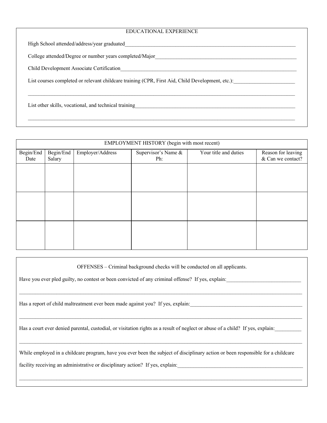## EDUCATIONAL EXPERIENCE

 $\mathcal{L}_\mathcal{L} = \mathcal{L}_\mathcal{L} = \mathcal{L}_\mathcal{L} = \mathcal{L}_\mathcal{L} = \mathcal{L}_\mathcal{L} = \mathcal{L}_\mathcal{L} = \mathcal{L}_\mathcal{L} = \mathcal{L}_\mathcal{L} = \mathcal{L}_\mathcal{L} = \mathcal{L}_\mathcal{L} = \mathcal{L}_\mathcal{L} = \mathcal{L}_\mathcal{L} = \mathcal{L}_\mathcal{L} = \mathcal{L}_\mathcal{L} = \mathcal{L}_\mathcal{L} = \mathcal{L}_\mathcal{L} = \mathcal{L}_\mathcal{L}$ 

High School attended/address/year graduated

College attended/Degree or number years completed/Major

Child Development Associate Certification

List courses completed or relevant childcare training (CPR, First Aid, Child Development, etc.):

List other skills, vocational, and technical training

| EMPLOYMENT HISTORY (begin with most recent) |                     |                  |                            |                       |                                         |
|---------------------------------------------|---------------------|------------------|----------------------------|-----------------------|-----------------------------------------|
| Begin/End<br>Date                           | Begin/End<br>Salary | Employer/Address | Supervisor's Name &<br>Ph: | Your title and duties | Reason for leaving<br>& Can we contact? |
|                                             |                     |                  |                            |                       |                                         |
|                                             |                     |                  |                            |                       |                                         |
|                                             |                     |                  |                            |                       |                                         |
|                                             |                     |                  |                            |                       |                                         |
|                                             |                     |                  |                            |                       |                                         |
|                                             |                     |                  |                            |                       |                                         |

OFFENSES – Criminal background checks will be conducted on all applicants.

 $\mathcal{L}_\text{max} = \frac{1}{2} \sum_{i=1}^n \mathcal{L}_\text{max} = \frac{1}{2} \sum_{i=1}^n \mathcal{L}_\text{max} = \frac{1}{2} \sum_{i=1}^n \mathcal{L}_\text{max} = \frac{1}{2} \sum_{i=1}^n \mathcal{L}_\text{max} = \frac{1}{2} \sum_{i=1}^n \mathcal{L}_\text{max} = \frac{1}{2} \sum_{i=1}^n \mathcal{L}_\text{max} = \frac{1}{2} \sum_{i=1}^n \mathcal{L}_\text{max} = \frac{1}{2} \sum_{i=$ 

Have you ever pled guilty, no contest or been convicted of any criminal offense? If yes, explain:

Has a report of child maltreatment ever been made against you? If yes, explain:

Has a court ever denied parental, custodial, or visitation rights as a result of neglect or abuse of a child? If yes, explain:

While employed in a childcare program, have you ever been the subject of disciplinary action or been responsible for a childcare

facility receiving an administrative or disciplinary action? If yes, explain: